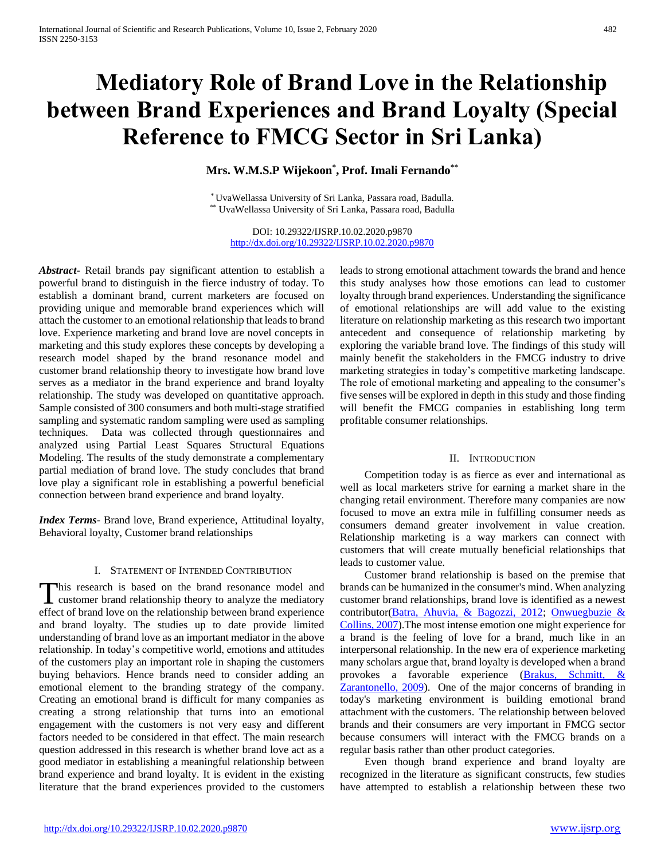# **Mediatory Role of Brand Love in the Relationship between Brand Experiences and Brand Loyalty (Special Reference to FMCG Sector in Sri Lanka)**

# **Mrs. W.M.S.P Wijekoon\* , Prof. Imali Fernando\*\***

\* UvaWellassa University of Sri Lanka, Passara road, Badulla. \*\* UvaWellassa University of Sri Lanka, Passara road, Badulla

DOI: 10.29322/IJSRP.10.02.2020.p9870 <http://dx.doi.org/10.29322/IJSRP.10.02.2020.p9870>

*Abstract***-** Retail brands pay significant attention to establish a powerful brand to distinguish in the fierce industry of today. To establish a dominant brand, current marketers are focused on providing unique and memorable brand experiences which will attach the customer to an emotional relationship that leads to brand love. Experience marketing and brand love are novel concepts in marketing and this study explores these concepts by developing a research model shaped by the brand resonance model and customer brand relationship theory to investigate how brand love serves as a mediator in the brand experience and brand loyalty relationship. The study was developed on quantitative approach. Sample consisted of 300 consumers and both multi-stage stratified sampling and systematic random sampling were used as sampling techniques. Data was collected through questionnaires and analyzed using Partial Least Squares Structural Equations Modeling. The results of the study demonstrate a complementary partial mediation of brand love. The study concludes that brand love play a significant role in establishing a powerful beneficial connection between brand experience and brand loyalty.

*Index Terms*- Brand love, Brand experience, Attitudinal loyalty, Behavioral loyalty, Customer brand relationships

#### I. STATEMENT OF INTENDED CONTRIBUTION

his research is based on the brand resonance model and This research is based on the brand resonance model and customer brand relationship theory to analyze the mediatory effect of brand love on the relationship between brand experience and brand loyalty. The studies up to date provide limited understanding of brand love as an important mediator in the above relationship. In today's competitive world, emotions and attitudes of the customers play an important role in shaping the customers buying behaviors. Hence brands need to consider adding an emotional element to the branding strategy of the company. Creating an emotional brand is difficult for many companies as creating a strong relationship that turns into an emotional engagement with the customers is not very easy and different factors needed to be considered in that effect. The main research question addressed in this research is whether brand love act as a good mediator in establishing a meaningful relationship between brand experience and brand loyalty. It is evident in the existing literature that the brand experiences provided to the customers

leads to strong emotional attachment towards the brand and hence this study analyses how those emotions can lead to customer loyalty through brand experiences. Understanding the significance of emotional relationships are will add value to the existing literature on relationship marketing as this research two important antecedent and consequence of relationship marketing by exploring the variable brand love. The findings of this study will mainly benefit the stakeholders in the FMCG industry to drive marketing strategies in today's competitive marketing landscape. The role of emotional marketing and appealing to the consumer's five senses will be explored in depth in this study and those finding will benefit the FMCG companies in establishing long term profitable consumer relationships.

#### II. INTRODUCTION

 Competition today is as fierce as ever and international as well as local marketers strive for earning a market share in the changing retail environment. Therefore many companies are now focused to move an extra mile in fulfilling consumer needs as consumers demand greater involvement in value creation. Relationship marketing is a way markers can connect with customers that will create mutually beneficial relationships that leads to customer value.

 Customer brand relationship is based on the premise that brands can be humanized in the consumer's mind. When analyzing customer brand relationships, brand love is identified as a newest contributor(Batra, Ahuvia, & Bagozzi, 2012; Onwuegbuzie & Collins, 2007).The most intense emotion one might experience for a brand is the feeling of love for a brand, much like in an interpersonal relationship. In the new era of experience marketing many scholars argue that, brand loyalty is developed when a brand provokes a favorable experience (Brakus, Schmitt, Zarantonello, 2009). One of the major concerns of branding in today's marketing environment is building emotional brand attachment with the customers. The relationship between beloved brands and their consumers are very important in FMCG sector because consumers will interact with the FMCG brands on a regular basis rather than other product categories.

 Even though brand experience and brand loyalty are recognized in the literature as significant constructs, few studies have attempted to establish a relationship between these two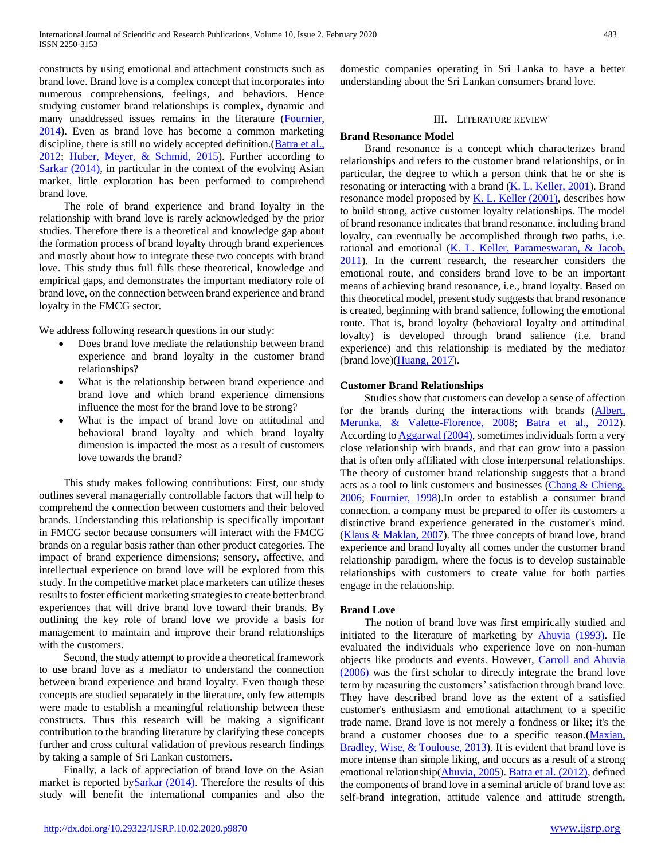constructs by using emotional and attachment constructs such as brand love. Brand love is a complex concept that incorporates into numerous comprehensions, feelings, and behaviors. Hence studying customer brand relationships is complex, dynamic and many unaddressed issues remains in the literature (Fournier, 2014). Even as brand love has become a common marketing discipline, there is still no widely accepted definition. (Batra et al., 2012; Huber, Meyer, & Schmid, 2015). Further according to Sarkar (2014), in particular in the context of the evolving Asian market, little exploration has been performed to comprehend brand love.

 The role of brand experience and brand loyalty in the relationship with brand love is rarely acknowledged by the prior studies. Therefore there is a theoretical and knowledge gap about the formation process of brand loyalty through brand experiences and mostly about how to integrate these two concepts with brand love. This study thus full fills these theoretical, knowledge and empirical gaps, and demonstrates the important mediatory role of brand love, on the connection between brand experience and brand loyalty in the FMCG sector.

We address following research questions in our study:

- Does brand love mediate the relationship between brand experience and brand loyalty in the customer brand relationships?
- What is the relationship between brand experience and brand love and which brand experience dimensions influence the most for the brand love to be strong?
- What is the impact of brand love on attitudinal and behavioral brand loyalty and which brand loyalty dimension is impacted the most as a result of customers love towards the brand?

 This study makes following contributions: First, our study outlines several managerially controllable factors that will help to comprehend the connection between customers and their beloved brands. Understanding this relationship is specifically important in FMCG sector because consumers will interact with the FMCG brands on a regular basis rather than other product categories. The impact of brand experience dimensions; sensory, affective, and intellectual experience on brand love will be explored from this study. In the competitive market place marketers can utilize theses results to foster efficient marketing strategies to create better brand experiences that will drive brand love toward their brands. By outlining the key role of brand love we provide a basis for management to maintain and improve their brand relationships with the customers.

 Second, the study attempt to provide a theoretical framework to use brand love as a mediator to understand the connection between brand experience and brand loyalty. Even though these concepts are studied separately in the literature, only few attempts were made to establish a meaningful relationship between these constructs. Thus this research will be making a significant contribution to the branding literature by clarifying these concepts further and cross cultural validation of previous research findings by taking a sample of Sri Lankan customers.

 Finally, a lack of appreciation of brand love on the Asian market is reported by  $Sarkar$  (2014). Therefore the results of this study will benefit the international companies and also the domestic companies operating in Sri Lanka to have a better understanding about the Sri Lankan consumers brand love.

### III. LITERATURE REVIEW

### **Brand Resonance Model**

 Brand resonance is a concept which characterizes brand relationships and refers to the customer brand relationships, or in particular, the degree to which a person think that he or she is resonating or interacting with a brand (K. L. Keller, 2001). Brand resonance model proposed by  $K$ . L. Keller (2001), describes how to build strong, active customer loyalty relationships. The model of brand resonance indicates that brand resonance, including brand loyalty, can eventually be accomplished through two paths, i.e. rational and emotional (K. L. Keller, Parameswaran, & Jacob, 2011). In the current research, the researcher considers the emotional route, and considers brand love to be an important means of achieving brand resonance, i.e., brand loyalty. Based on this theoretical model, present study suggests that brand resonance is created, beginning with brand salience, following the emotional route. That is, brand loyalty (behavioral loyalty and attitudinal loyalty) is developed through brand salience (i.e. brand experience) and this relationship is mediated by the mediator (brand love)(Huang, 2017).

#### **Customer Brand Relationships**

 Studies show that customers can develop a sense of affection for the brands during the interactions with brands (Albert, Merunka, & Valette-Florence, 2008; Batra et al., 2012). According to Aggarwal (2004), sometimes individuals form a very close relationship with brands, and that can grow into a passion that is often only affiliated with close interpersonal relationships. The theory of customer brand relationship suggests that a brand acts as a tool to link customers and businesses (Chang & Chieng, 2006; Fournier, 1998).In order to establish a consumer brand connection, a company must be prepared to offer its customers a distinctive brand experience generated in the customer's mind. (Klaus & Maklan, 2007). The three concepts of brand love, brand experience and brand loyalty all comes under the customer brand relationship paradigm, where the focus is to develop sustainable relationships with customers to create value for both parties engage in the relationship.

# **Brand Love**

 The notion of brand love was first empirically studied and initiated to the literature of marketing by Ahuvia (1993). He evaluated the individuals who experience love on non-human objects like products and events. However, Carroll and Ahuvia (2006) was the first scholar to directly integrate the brand love term by measuring the customers' satisfaction through brand love. They have described brand love as the extent of a satisfied customer's enthusiasm and emotional attachment to a specific trade name. Brand love is not merely a fondness or like; it's the brand a customer chooses due to a specific reason.(Maxian, Bradley, Wise, & Toulouse, 2013). It is evident that brand love is more intense than simple liking, and occurs as a result of a strong emotional relationship(Ahuvia, 2005). Batra et al. (2012), defined the components of brand love in a seminal article of brand love as: self-brand integration, attitude valence and attitude strength,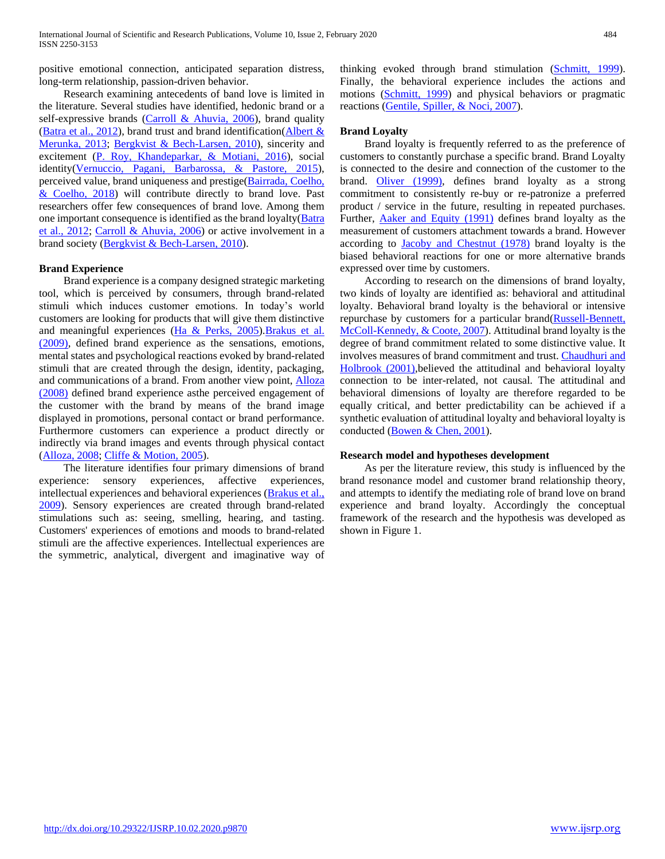positive emotional connection, anticipated separation distress, long-term relationship, passion-driven behavior.

 Research examining antecedents of band love is limited in the literature. Several studies have identified, hedonic brand or a self-expressive brands (Carroll & Ahuvia, 2006), brand quality (Batra et al., 2012), brand trust and brand identification( $\Delta$ lbert  $\&$ Merunka, 2013; Bergkvist & Bech-Larsen, 2010), sincerity and excitement (P. Roy, Khandeparkar, & Motiani, 2016), social identity(Vernuccio, Pagani, Barbarossa, & Pastore, 2015), perceived value, brand uniqueness and prestige(Bairrada, Coelho, & Coelho, 2018) will contribute directly to brand love. Past researchers offer few consequences of brand love. Among them one important consequence is identified as the brand loyalty(Batra et al., 2012; Carroll & Ahuvia, 2006) or active involvement in a brand society (Bergkvist & Bech-Larsen, 2010).

#### **Brand Experience**

 Brand experience is a company designed strategic marketing tool, which is perceived by consumers, through brand-related stimuli which induces customer emotions. In today's world customers are looking for products that will give them distinctive and meaningful experiences (Ha & Perks, 2005)[.Brakus et al.](file:///C:/Users/Pavilion/Documents/psychology%20in%20marketing%20publication/Journal%20Manuscript.docx%23_ENREF_13)  (2009), defined brand experience as the sensations, emotions, mental states and psychological reactions evoked by brand-related stimuli that are created through the design, identity, packaging, and communications of a brand. From another view point, Alloza (2008) defined brand experience asthe perceived engagement of the customer with the brand by means of the brand image displayed in promotions, personal contact or brand performance. Furthermore customers can experience a product directly or indirectly via brand images and events through physical contact (Alloza, 2008; Cliffe & Motion, 2005).

 The literature identifies four primary dimensions of brand experience: sensory experiences, affective experiences, intellectual experiences and behavioral experiences (**Brakus et al.**, 2009). Sensory experiences are created through brand-related stimulations such as: seeing, smelling, hearing, and tasting. Customers' experiences of emotions and moods to brand-related stimuli are the affective experiences. Intellectual experiences are the symmetric, analytical, divergent and imaginative way of thinking evoked through brand stimulation (Schmitt, 1999). Finally, the behavioral experience includes the actions and motions (Schmitt, 1999) and physical behaviors or pragmatic reactions (Gentile, Spiller, & Noci, 2007).

#### **Brand Loyalty**

 Brand loyalty is frequently referred to as the preference of customers to constantly purchase a specific brand. Brand Loyalty is connected to the desire and connection of the customer to the brand. Oliver (1999), defines brand loyalty as a strong commitment to consistently re-buy or re-patronize a preferred product / service in the future, resulting in repeated purchases. Further, Aaker and Equity (1991) defines brand loyalty as the measurement of customers attachment towards a brand. However according to Jacoby and Chestnut (1978) brand loyalty is the biased behavioral reactions for one or more alternative brands expressed over time by customers.

 According to research on the dimensions of brand loyalty, two kinds of loyalty are identified as: behavioral and attitudinal loyalty. Behavioral brand loyalty is the behavioral or intensive repurchase by customers for a particular brand(Russell-Bennett, McColl-Kennedy, & Coote, 2007). Attitudinal brand loyalty is the degree of brand commitment related to some distinctive value. It involves measures of brand commitment and trust. Chaudhuri and Holbrook (2001),believed the attitudinal and behavioral loyalty connection to be inter-related, not causal. The attitudinal and behavioral dimensions of loyalty are therefore regarded to be equally critical, and better predictability can be achieved if a synthetic evaluation of attitudinal loyalty and behavioral loyalty is conducted (Bowen & Chen, 2001).

#### **Research model and hypotheses development**

 As per the literature review, this study is influenced by the brand resonance model and customer brand relationship theory, and attempts to identify the mediating role of brand love on brand experience and brand loyalty. Accordingly the conceptual framework of the research and the hypothesis was developed as shown in Figure 1.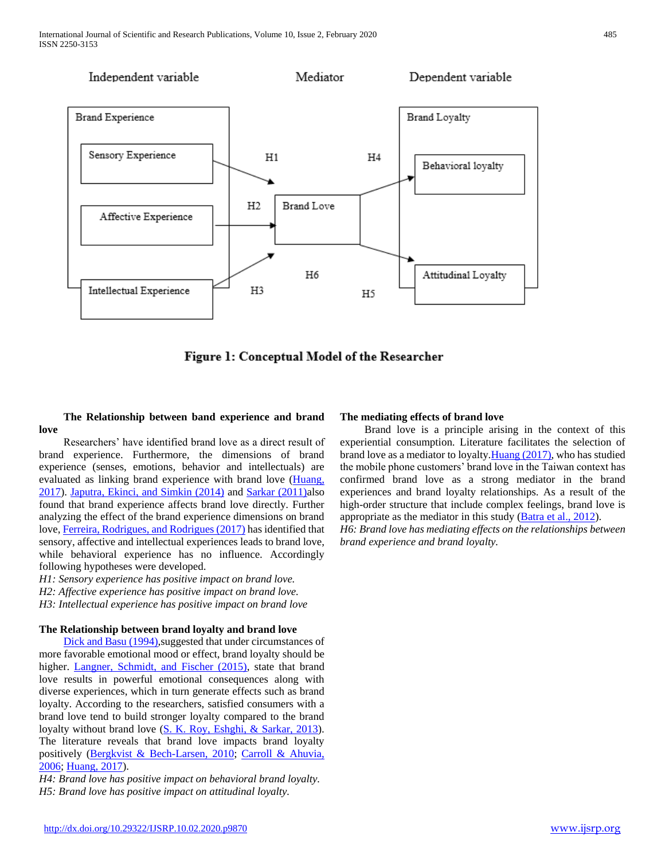

Figure 1: Conceptual Model of the Researcher

# **The Relationship between band experience and brand love**

 Researchers' have identified brand love as a direct result of brand experience. Furthermore, the dimensions of brand experience (senses, emotions, behavior and intellectuals) are evaluated as linking brand experience with brand love (Huang, 2017). Japutra, Ekinci, and Simkin (2014) and Sarkar (2011)also found that brand experience affects brand love directly. Further analyzing the effect of the brand experience dimensions on brand love, Ferreira, Rodrigues, and Rodrigues (2017) has identified that sensory, affective and intellectual experiences leads to brand love, while behavioral experience has no influence. Accordingly following hypotheses were developed.

*H1: Sensory experience has positive impact on brand love.*

*H2: Affective experience has positive impact on brand love.* 

*H3: Intellectual experience has positive impact on brand love*

# **The Relationship between brand loyalty and brand love**

Dick and Basu (1994), suggested that under circumstances of more favorable emotional mood or effect, brand loyalty should be higher. Langner, Schmidt, and Fischer (2015), state that brand love results in powerful emotional consequences along with diverse experiences, which in turn generate effects such as brand loyalty. According to the researchers, satisfied consumers with a brand love tend to build stronger loyalty compared to the brand loyalty without brand love (S. K. Roy, Eshghi, & Sarkar, 2013). The literature reveals that brand love impacts brand loyalty positively (Bergkvist & Bech-Larsen, 2010; Carroll & Ahuvia, 2006; Huang, 2017).

*H4: Brand love has positive impact on behavioral brand loyalty. H5: Brand love has positive impact on attitudinal loyalty.*

# **The mediating effects of brand love**

 Brand love is a principle arising in the context of this experiential consumption. Literature facilitates the selection of brand love as a mediator to loyalty.Huang (2017), who has studied the mobile phone customers' brand love in the Taiwan context has confirmed brand love as a strong mediator in the brand experiences and brand loyalty relationships. As a result of the high-order structure that include complex feelings, brand love is appropriate as the mediator in this study (Batra et al., 2012).

*H6: Brand love has mediating effects on the relationships between brand experience and brand loyalty.*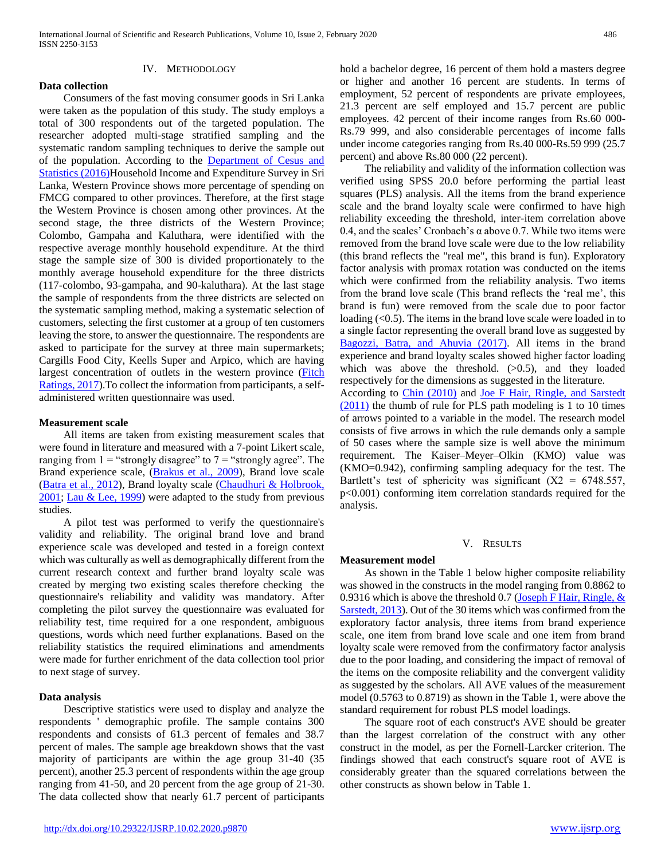# IV. METHODOLOGY

 Consumers of the fast moving consumer goods in Sri Lanka were taken as the population of this study. The study employs a total of 300 respondents out of the targeted population. The researcher adopted multi-stage stratified sampling and the systematic random sampling techniques to derive the sample out of the population. According to the Department of Cesus and Statistics (2016)Household Income and Expenditure Survey in Sri Lanka, Western Province shows more percentage of spending on FMCG compared to other provinces. Therefore, at the first stage the Western Province is chosen among other provinces. At the second stage, the three districts of the Western Province; Colombo, Gampaha and Kaluthara, were identified with the respective average monthly household expenditure. At the third stage the sample size of 300 is divided proportionately to the monthly average household expenditure for the three districts (117-colombo, 93-gampaha, and 90-kaluthara). At the last stage the sample of respondents from the three districts are selected on the systematic sampling method, making a systematic selection of customers, selecting the first customer at a group of ten customers leaving the store, to answer the questionnaire. The respondents are asked to participate for the survey at three main supermarkets; Cargills Food City, Keells Super and Arpico, which are having largest concentration of outlets in the western province (Fitch Ratings, 2017).To collect the information from participants, a selfadministered written questionnaire was used.

#### **Measurement scale**

**Data collection**

 All items are taken from existing measurement scales that were found in literature and measured with a 7-point Likert scale, ranging from  $1 =$  "strongly disagree" to  $7 =$  "strongly agree". The Brand experience scale, (Brakus et al., 2009), Brand love scale (Batra et al., 2012), Brand loyalty scale (Chaudhuri & Holbrook, 2001; Lau & Lee, 1999) were adapted to the study from previous studies.

 A pilot test was performed to verify the questionnaire's validity and reliability. The original brand love and brand experience scale was developed and tested in a foreign context which was culturally as well as demographically different from the current research context and further brand loyalty scale was created by merging two existing scales therefore checking the questionnaire's reliability and validity was mandatory. After completing the pilot survey the questionnaire was evaluated for reliability test, time required for a one respondent, ambiguous questions, words which need further explanations. Based on the reliability statistics the required eliminations and amendments were made for further enrichment of the data collection tool prior to next stage of survey.

#### **Data analysis**

 Descriptive statistics were used to display and analyze the respondents ' demographic profile. The sample contains 300 respondents and consists of 61.3 percent of females and 38.7 percent of males. The sample age breakdown shows that the vast majority of participants are within the age group 31-40 (35 percent), another 25.3 percent of respondents within the age group ranging from 41-50, and 20 percent from the age group of 21-30. The data collected show that nearly 61.7 percent of participants

hold a bachelor degree, 16 percent of them hold a masters degree or higher and another 16 percent are students. In terms of employment, 52 percent of respondents are private employees, 21.3 percent are self employed and 15.7 percent are public employees. 42 percent of their income ranges from Rs.60 000- Rs.79 999, and also considerable percentages of income falls under income categories ranging from Rs.40 000-Rs.59 999 (25.7 percent) and above Rs.80 000 (22 percent).

 The reliability and validity of the information collection was verified using SPSS 20.0 before performing the partial least squares (PLS) analysis. All the items from the brand experience scale and the brand loyalty scale were confirmed to have high reliability exceeding the threshold, inter-item correlation above 0.4, and the scales' Cronbach's  $\alpha$  above 0.7. While two items were removed from the brand love scale were due to the low reliability (this brand reflects the "real me", this brand is fun). Exploratory factor analysis with promax rotation was conducted on the items which were confirmed from the reliability analysis. Two items from the brand love scale (This brand reflects the 'real me', this brand is fun) were removed from the scale due to poor factor loading  $( $0.5$ ). The items in the brand love scale were loaded in to$ a single factor representing the overall brand love as suggested by Bagozzi, Batra, and Ahuvia (2017). All items in the brand experience and brand loyalty scales showed higher factor loading which was above the threshold.  $(>0.5)$ , and they loaded respectively for the dimensions as suggested in the literature.

According to Chin (2010) and Joe F Hair, Ringle, and Sarstedt (2011) the thumb of rule for PLS path modeling is 1 to 10 times of arrows pointed to a variable in the model. The research model consists of five arrows in which the rule demands only a sample of 50 cases where the sample size is well above the minimum requirement. The Kaiser–Meyer–Olkin (KMO) value was (KMO=0.942), confirming sampling adequacy for the test. The Bartlett's test of sphericity was significant  $(X2 = 6748.557)$ , p<0.001) conforming item correlation standards required for the analysis.

# V. RESULTS

#### **Measurement model**

 As shown in the Table 1 below higher composite reliability was showed in the constructs in the model ranging from 0.8862 to 0.9316 which is above the threshold 0.7 (Joseph F Hair, Ringle, & Sarstedt, 2013). Out of the 30 items which was confirmed from the exploratory factor analysis, three items from brand experience scale, one item from brand love scale and one item from brand loyalty scale were removed from the confirmatory factor analysis due to the poor loading, and considering the impact of removal of the items on the composite reliability and the convergent validity as suggested by the scholars. All AVE values of the measurement model (0.5763 to 0.8719) as shown in the Table 1, were above the standard requirement for robust PLS model loadings.

 The square root of each construct's AVE should be greater than the largest correlation of the construct with any other construct in the model, as per the Fornell-Larcker criterion. The findings showed that each construct's square root of AVE is considerably greater than the squared correlations between the other constructs as shown below in Table 1.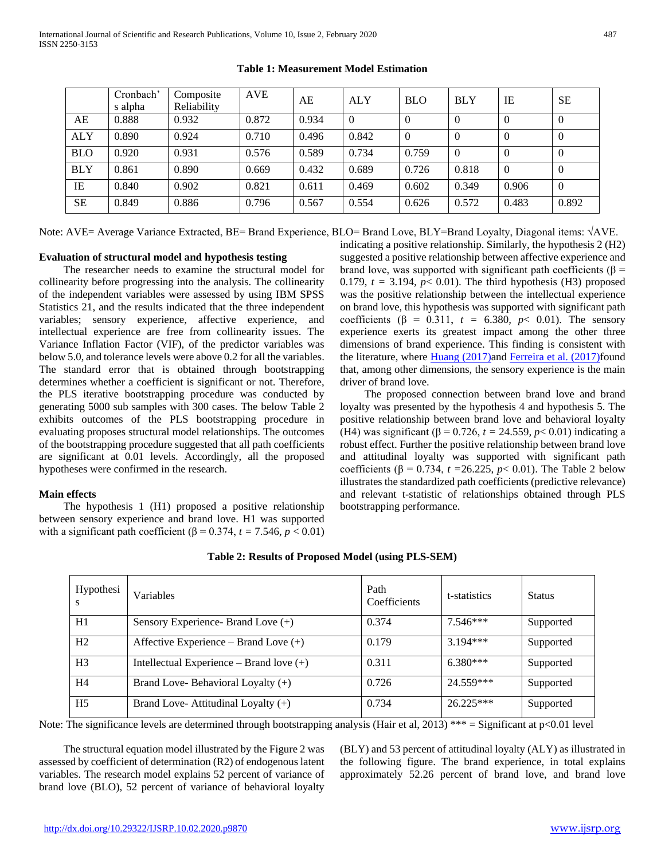|            | Cronbach'<br>s alpha | Composite<br>Reliability | <b>AVE</b> | AE    | <b>ALY</b> | <b>BLO</b> | <b>BLY</b> | IE       | <b>SE</b> |
|------------|----------------------|--------------------------|------------|-------|------------|------------|------------|----------|-----------|
| AE         | 0.888                | 0.932                    | 0.872      | 0.934 | $\theta$   | $\theta$   | 0          | O        | $\theta$  |
| <b>ALY</b> | 0.890                | 0.924                    | 0.710      | 0.496 | 0.842      | $\theta$   | $\theta$   | 0        | $\theta$  |
| <b>BLO</b> | 0.920                | 0.931                    | 0.576      | 0.589 | 0.734      | 0.759      | $\Omega$   |          |           |
| <b>BLY</b> | 0.861                | 0.890                    | 0.669      | 0.432 | 0.689      | 0.726      | 0.818      | $\Omega$ | $\theta$  |
| IE         | 0.840                | 0.902                    | 0.821      | 0.611 | 0.469      | 0.602      | 0.349      | 0.906    | $\Omega$  |
| <b>SE</b>  | 0.849                | 0.886                    | 0.796      | 0.567 | 0.554      | 0.626      | 0.572      | 0.483    | 0.892     |

# **Table 1: Measurement Model Estimation**

Note: AVE= Average Variance Extracted, BE= Brand Experience, BLO= Brand Love, BLY=Brand Loyalty, Diagonal items: √AVE.

#### **Evaluation of structural model and hypothesis testing**

 The researcher needs to examine the structural model for collinearity before progressing into the analysis. The collinearity of the independent variables were assessed by using IBM SPSS Statistics 21, and the results indicated that the three independent variables; sensory experience, affective experience, and intellectual experience are free from collinearity issues. The Variance Inflation Factor (VIF), of the predictor variables was below 5.0, and tolerance levels were above 0.2 for all the variables. The standard error that is obtained through bootstrapping determines whether a coefficient is significant or not. Therefore, the PLS iterative bootstrapping procedure was conducted by generating 5000 sub samples with 300 cases. The below Table 2 exhibits outcomes of the PLS bootstrapping procedure in evaluating proposes structural model relationships. The outcomes of the bootstrapping procedure suggested that all path coefficients are significant at 0.01 levels. Accordingly, all the proposed hypotheses were confirmed in the research.

# **Main effects**

 The hypothesis 1 (H1) proposed a positive relationship between sensory experience and brand love. H1 was supported with a significant path coefficient ( $β = 0.374$ ,  $t = 7.546$ ,  $p < 0.01$ ) indicating a positive relationship. Similarly, the hypothesis 2 (H2) suggested a positive relationship between affective experience and brand love, was supported with significant path coefficients (β = 0.179,  $t = 3.194$ ,  $p < 0.01$ ). The third hypothesis (H3) proposed was the positive relationship between the intellectual experience on brand love, this hypothesis was supported with significant path coefficients ( $\beta$  = 0.311,  $t = 6.380$ ,  $p < 0.01$ ). The sensory experience exerts its greatest impact among the other three dimensions of brand experience. This finding is consistent with the literature, where Huang (2017)and Ferreira et al. (2017)found that, among other dimensions, the sensory experience is the main driver of brand love.

 The proposed connection between brand love and brand loyalty was presented by the hypothesis 4 and hypothesis 5. The positive relationship between brand love and behavioral loyalty (H4) was significant (β = 0.726, *t =* 24.559*, p*< 0.01) indicating a robust effect. Further the positive relationship between brand love and attitudinal loyalty was supported with significant path coefficients (β = 0.734, *t =*26.225, *p*< 0.01). The Table 2 below illustrates the standardized path coefficients (predictive relevance) and relevant t-statistic of relationships obtained through PLS bootstrapping performance.

| Hypothesi      | Variables                                  | Path<br>Coefficients | t-statistics | <b>Status</b> |
|----------------|--------------------------------------------|----------------------|--------------|---------------|
| H1             | Sensory Experience- Brand Love (+)         | 0.374                | $7.546***$   | Supported     |
| H <sub>2</sub> | Affective Experience – Brand Love $(+)$    | 0.179                | $3.194***$   | Supported     |
| H <sub>3</sub> | Intellectual Experience – Brand love $(+)$ | 0.311                | $6.380***$   | Supported     |
| H <sub>4</sub> | Brand Love-Behavioral Loyalty (+)          | 0.726                | 24.559***    | Supported     |
| H <sub>5</sub> | Brand Love-Attitudinal Loyalty $(+)$       | 0.734                | $26.225***$  | Supported     |

**Table 2: Results of Proposed Model (using PLS-SEM)**

Note: The significance levels are determined through bootstrapping analysis (Hair et al, 2013) \*\*\* = Significant at  $p<0.01$  level

 The structural equation model illustrated by the Figure 2 was assessed by coefficient of determination (R2) of endogenous latent variables. The research model explains 52 percent of variance of brand love (BLO), 52 percent of variance of behavioral loyalty

(BLY) and 53 percent of attitudinal loyalty (ALY) as illustrated in the following figure. The brand experience, in total explains approximately 52.26 percent of brand love, and brand love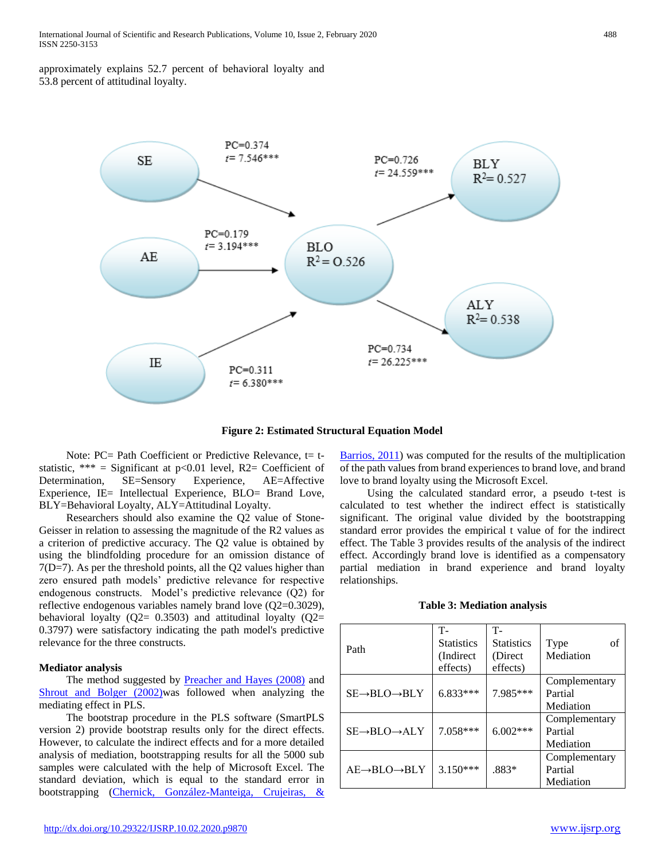approximately explains 52.7 percent of behavioral loyalty and 53.8 percent of attitudinal loyalty.



**Figure 2: Estimated Structural Equation Model**

Note: PC= Path Coefficient or Predictive Relevance,  $t = t$ statistic, \*\*\* = Significant at  $p<0.01$  level, R2= Coefficient of Determination, SE=Sensory Experience, AE=Affective Experience, IE= Intellectual Experience, BLO= Brand Love, BLY=Behavioral Loyalty, ALY=Attitudinal Loyalty.

 Researchers should also examine the Q2 value of Stone-Geisser in relation to assessing the magnitude of the R2 values as a criterion of predictive accuracy. The Q2 value is obtained by using the blindfolding procedure for an omission distance of 7(D=7). As per the threshold points, all the Q2 values higher than zero ensured path models' predictive relevance for respective endogenous constructs. Model's predictive relevance (Q2) for reflective endogenous variables namely brand love (Q2=0.3029), behavioral loyalty ( $Q2 = 0.3503$ ) and attitudinal loyalty ( $Q2 = 0.3503$ ) 0.3797) were satisfactory indicating the path model's predictive relevance for the three constructs.

# **Mediator analysis**

The method suggested by **Preacher and Hayes (2008)** and Shrout and Bolger (2002)was followed when analyzing the mediating effect in PLS.

 The bootstrap procedure in the PLS software (SmartPLS version 2) provide bootstrap results only for the direct effects. However, to calculate the indirect effects and for a more detailed analysis of mediation, bootstrapping results for all the 5000 sub samples were calculated with the help of Microsoft Excel. The standard deviation, which is equal to the standard error in bootstrapping (Chernick, González-Manteiga, Crujeiras, & Barrios, 2011) was computed for the results of the multiplication of the path values from brand experiences to brand love, and brand love to brand loyalty using the Microsoft Excel.

 Using the calculated standard error, a pseudo t-test is calculated to test whether the indirect effect is statistically significant. The original value divided by the bootstrapping standard error provides the empirical t value of for the indirect effect. The Table 3 provides results of the analysis of the indirect effect. Accordingly brand love is identified as a compensatory partial mediation in brand experience and brand loyalty relationships.

#### **Table 3: Mediation analysis**

| Path                                 | T-<br><b>Statistics</b><br>(Indirect)<br>effects) | <b>T-</b><br><b>Statistics</b><br>(Direct)<br>effects) | of<br>Type<br>Mediation               |
|--------------------------------------|---------------------------------------------------|--------------------------------------------------------|---------------------------------------|
| $SE \rightarrow BLO \rightarrow BLY$ | 6.833***                                          | 7.985***                                               | Complementary<br>Partial<br>Mediation |
| $SE \rightarrow BLO \rightarrow ALY$ | 7.058***                                          | $6.002***$                                             | Complementary<br>Partial<br>Mediation |
| $AE \rightarrow BLO \rightarrow BLY$ | $3.150***$                                        | $.883*$                                                | Complementary<br>Partial<br>Mediation |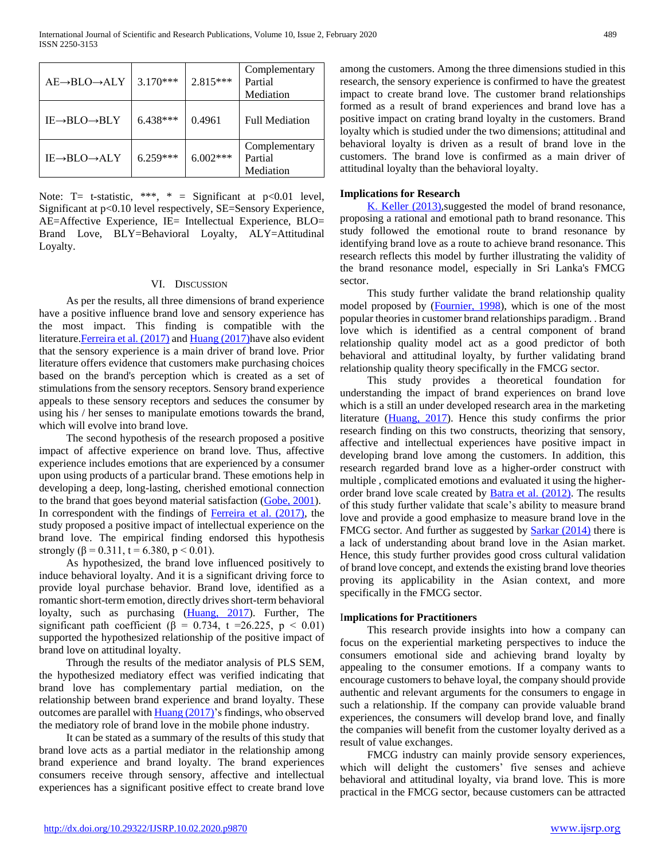| $AE \rightarrow BLO \rightarrow ALY$   | $3.170***$ | 2.815***   | Complementary<br>Partial<br>Mediation |
|----------------------------------------|------------|------------|---------------------------------------|
| IE→BLO→BLY                             | $6.438***$ | 0.4961     | <b>Full Mediation</b>                 |
| $IE \rightarrow BLO \rightarrow AI. Y$ | $6.259***$ | $6.002***$ | Complementary<br>Partial<br>Mediation |

Note: T= t-statistic, \*\*\*, \* = Significant at  $p<0.01$  level, Significant at p<0.10 level respectively, SE=Sensory Experience, AE=Affective Experience, IE= Intellectual Experience, BLO= Brand Love, BLY=Behavioral Loyalty, ALY=Attitudinal Loyalty.

### VI. DISCUSSION

 As per the results, all three dimensions of brand experience have a positive influence brand love and sensory experience has the most impact. This finding is compatible with the literature. Ferreira et al. (2017) and Huang (2017) have also evident that the sensory experience is a main driver of brand love. Prior literature offers evidence that customers make purchasing choices based on the brand's perception which is created as a set of stimulations from the sensory receptors. Sensory brand experience appeals to these sensory receptors and seduces the consumer by using his / her senses to manipulate emotions towards the brand, which will evolve into brand love.

 The second hypothesis of the research proposed a positive impact of affective experience on brand love. Thus, affective experience includes emotions that are experienced by a consumer upon using products of a particular brand. These emotions help in developing a deep, long-lasting, cherished emotional connection to the brand that goes beyond material satisfaction (Gobe, 2001). In correspondent with the findings of Ferreira et al. (2017), the study proposed a positive impact of intellectual experience on the brand love. The empirical finding endorsed this hypothesis strongly ( $\beta$  = 0.311, t = 6.380, p < 0.01).

 As hypothesized, the brand love influenced positively to induce behavioral loyalty. And it is a significant driving force to provide loyal purchase behavior. Brand love, identified as a romantic short-term emotion, directly drives short-term behavioral loyalty, such as purchasing (*Huang, 2017*). Further, The significant path coefficient ( $\beta = 0.734$ , t =26.225, p < 0.01) supported the hypothesized relationship of the positive impact of brand love on attitudinal loyalty.

 Through the results of the mediator analysis of PLS SEM, the hypothesized mediatory effect was verified indicating that brand love has complementary partial mediation, on the relationship between brand experience and brand loyalty. These outcomes are parallel with Huang (2017)'s findings, who observed the mediatory role of brand love in the mobile phone industry.

 It can be stated as a summary of the results of this study that brand love acts as a partial mediator in the relationship among brand experience and brand loyalty. The brand experiences consumers receive through sensory, affective and intellectual experiences has a significant positive effect to create brand love

among the customers. Among the three dimensions studied in this research, the sensory experience is confirmed to have the greatest impact to create brand love. The customer brand relationships formed as a result of brand experiences and brand love has a positive impact on crating brand loyalty in the customers. Brand loyalty which is studied under the two dimensions; attitudinal and behavioral loyalty is driven as a result of brand love in the customers. The brand love is confirmed as a main driver of attitudinal loyalty than the behavioral loyalty.

# **Implications for Research**

 K. Keller (2013),suggested the model of brand resonance, proposing a rational and emotional path to brand resonance. This study followed the emotional route to brand resonance by identifying brand love as a route to achieve brand resonance. This research reflects this model by further illustrating the validity of the brand resonance model, especially in Sri Lanka's FMCG sector.

 This study further validate the brand relationship quality model proposed by (Fournier, 1998), which is one of the most popular theories in customer brand relationships paradigm. . Brand love which is identified as a central component of brand relationship quality model act as a good predictor of both behavioral and attitudinal loyalty, by further validating brand relationship quality theory specifically in the FMCG sector.

 This study provides a theoretical foundation for understanding the impact of brand experiences on brand love which is a still an under developed research area in the marketing literature (Huang, 2017). Hence this study confirms the prior research finding on this two constructs, theorizing that sensory, affective and intellectual experiences have positive impact in developing brand love among the customers. In addition, this research regarded brand love as a higher-order construct with multiple , complicated emotions and evaluated it using the higherorder brand love scale created by **Batra et al.** (2012). The results of this study further validate that scale's ability to measure brand love and provide a good emphasize to measure brand love in the FMCG sector. And further as suggested by **Sarkar (2014)** there is a lack of understanding about brand love in the Asian market. Hence, this study further provides good cross cultural validation of brand love concept, and extends the existing brand love theories proving its applicability in the Asian context, and more specifically in the FMCG sector.

# I**mplications for Practitioners**

 This research provide insights into how a company can focus on the experiential marketing perspectives to induce the consumers emotional side and achieving brand loyalty by appealing to the consumer emotions. If a company wants to encourage customers to behave loyal, the company should provide authentic and relevant arguments for the consumers to engage in such a relationship. If the company can provide valuable brand experiences, the consumers will develop brand love, and finally the companies will benefit from the customer loyalty derived as a result of value exchanges.

 FMCG industry can mainly provide sensory experiences, which will delight the customers' five senses and achieve behavioral and attitudinal loyalty, via brand love. This is more practical in the FMCG sector, because customers can be attracted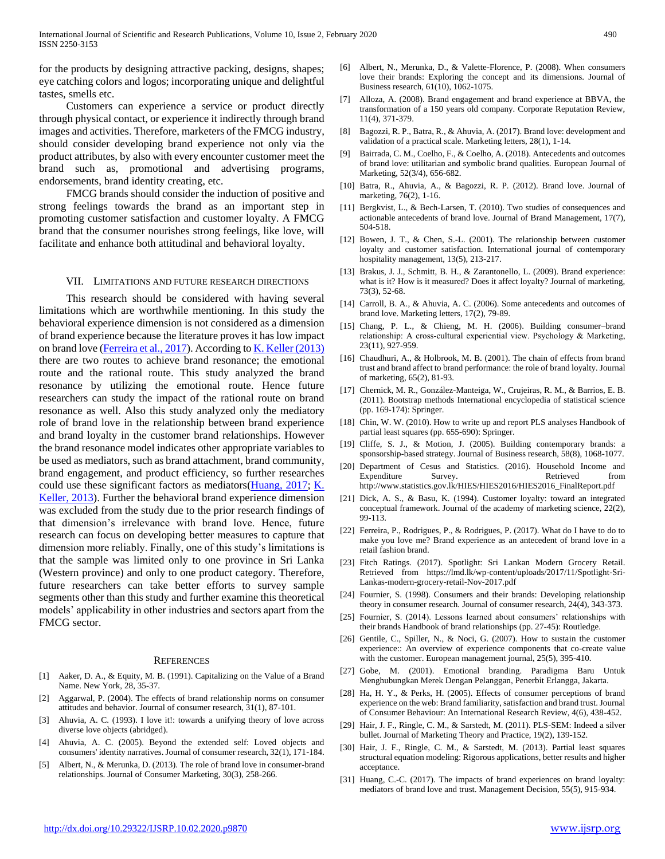for the products by designing attractive packing, designs, shapes; eye catching colors and logos; incorporating unique and delightful tastes, smells etc.

 Customers can experience a service or product directly through physical contact, or experience it indirectly through brand images and activities. Therefore, marketers of the FMCG industry, should consider developing brand experience not only via the product attributes, by also with every encounter customer meet the brand such as, promotional and advertising programs, endorsements, brand identity creating, etc.

 FMCG brands should consider the induction of positive and strong feelings towards the brand as an important step in promoting customer satisfaction and customer loyalty. A FMCG brand that the consumer nourishes strong feelings, like love, will facilitate and enhance both attitudinal and behavioral loyalty.

#### VII. LIMITATIONS AND FUTURE RESEARCH DIRECTIONS

 This research should be considered with having several limitations which are worthwhile mentioning. In this study the behavioral experience dimension is not considered as a dimension of brand experience because the literature proves it has low impact on brand love (Ferreira et al., 2017). According to K. Keller (2013) there are two routes to achieve brand resonance; the emotional route and the rational route. This study analyzed the brand resonance by utilizing the emotional route. Hence future researchers can study the impact of the rational route on brand resonance as well. Also this study analyzed only the mediatory role of brand love in the relationship between brand experience and brand loyalty in the customer brand relationships. However the brand resonance model indicates other appropriate variables to be used as mediators, such as brand attachment, brand community, brand engagement, and product efficiency, so further researches could use these significant factors as mediators(Huang, 2017; K. Keller, 2013). Further the behavioral brand experience dimension was excluded from the study due to the prior research findings of that dimension's irrelevance with brand love. Hence, future research can focus on developing better measures to capture that dimension more reliably. Finally, one of this study's limitations is that the sample was limited only to one province in Sri Lanka (Western province) and only to one product category. Therefore, future researchers can take better efforts to survey sample segments other than this study and further examine this theoretical models' applicability in other industries and sectors apart from the FMCG sector.

#### **REFERENCES**

- [1] Aaker, D. A., & Equity, M. B. (1991). Capitalizing on the Value of a Brand Name. New York, 28, 35-37.
- [2] Aggarwal, P. (2004). The effects of brand relationship norms on consumer attitudes and behavior. Journal of consumer research, 31(1), 87-101.
- [3] Ahuvia, A. C. (1993). I love it!: towards a unifying theory of love across diverse love objects (abridged).
- [4] Ahuvia, A. C. (2005). Beyond the extended self: Loved objects and consumers' identity narratives. Journal of consumer research, 32(1), 171-184.
- [5] Albert, N., & Merunka, D. (2013). The role of brand love in consumer-brand relationships. Journal of Consumer Marketing, 30(3), 258-266.
- [6] Albert, N., Merunka, D., & Valette-Florence, P. (2008). When consumers love their brands: Exploring the concept and its dimensions. Journal of Business research, 61(10), 1062-1075.
- [7] Alloza, A. (2008). Brand engagement and brand experience at BBVA, the transformation of a 150 years old company. Corporate Reputation Review, 11(4), 371-379.
- [8] Bagozzi, R. P., Batra, R., & Ahuvia, A. (2017). Brand love: development and validation of a practical scale. Marketing letters, 28(1), 1-14.
- [9] Bairrada, C. M., Coelho, F., & Coelho, A. (2018). Antecedents and outcomes of brand love: utilitarian and symbolic brand qualities. European Journal of Marketing, 52(3/4), 656-682.
- [10] Batra, R., Ahuvia, A., & Bagozzi, R. P. (2012). Brand love. Journal of marketing, 76(2), 1-16.
- [11] Bergkvist, L., & Bech-Larsen, T. (2010). Two studies of consequences and actionable antecedents of brand love. Journal of Brand Management, 17(7), 504-518.
- [12] Bowen, J. T., & Chen, S.-L. (2001). The relationship between customer loyalty and customer satisfaction. International journal of contemporary hospitality management, 13(5), 213-217.
- [13] Brakus, J. J., Schmitt, B. H., & Zarantonello, L. (2009). Brand experience: what is it? How is it measured? Does it affect loyalty? Journal of marketing, 73(3), 52-68.
- [14] Carroll, B. A., & Ahuvia, A. C. (2006). Some antecedents and outcomes of brand love. Marketing letters, 17(2), 79-89.
- [15] Chang, P. L., & Chieng, M. H. (2006). Building consumer-brand relationship: A cross-cultural experiential view. Psychology & Marketing, 23(11), 927-959.
- [16] Chaudhuri, A., & Holbrook, M. B. (2001). The chain of effects from brand trust and brand affect to brand performance: the role of brand loyalty. Journal of marketing, 65(2), 81-93.
- [17] Chernick, M. R., González-Manteiga, W., Crujeiras, R. M., & Barrios, E. B. (2011). Bootstrap methods International encyclopedia of statistical science (pp. 169-174): Springer.
- [18] Chin, W. W. (2010). How to write up and report PLS analyses Handbook of partial least squares (pp. 655-690): Springer.
- [19] Cliffe, S. J., & Motion, J. (2005). Building contemporary brands: a sponsorship-based strategy. Journal of Business research, 58(8), 1068-1077.
- [20] Department of Cesus and Statistics. (2016). Household Income and Expenditure Survey. Retrieved from http://www.statistics.gov.lk/HIES/HIES2016/HIES2016\_FinalReport.pdf
- [21] Dick, A. S., & Basu, K. (1994). Customer loyalty: toward an integrated conceptual framework. Journal of the academy of marketing science, 22(2), 99-113.
- [22] Ferreira, P., Rodrigues, P., & Rodrigues, P. (2017). What do I have to do to make you love me? Brand experience as an antecedent of brand love in a retail fashion brand.
- [23] Fitch Ratings. (2017). Spotlight: Sri Lankan Modern Grocery Retail. Retrieved from https://lmd.lk/wp-content/uploads/2017/11/Spotlight-Sri-Lankas-modern-grocery-retail-Nov-2017.pdf
- [24] Fournier, S. (1998). Consumers and their brands: Developing relationship theory in consumer research. Journal of consumer research, 24(4), 343-373.
- [25] Fournier, S. (2014). Lessons learned about consumers' relationships with their brands Handbook of brand relationships (pp. 27-45): Routledge.
- [26] Gentile, C., Spiller, N., & Noci, G. (2007). How to sustain the customer experience:: An overview of experience components that co-create value with the customer. European management journal, 25(5), 395-410.
- [27] Gobe, M. (2001). Emotional branding. Paradigma Baru Untuk Menghubungkan Merek Dengan Pelanggan, Penerbit Erlangga, Jakarta.
- [28] Ha, H. Y., & Perks, H. (2005). Effects of consumer perceptions of brand experience on the web: Brand familiarity, satisfaction and brand trust. Journal of Consumer Behaviour: An International Research Review, 4(6), 438-452.
- [29] Hair, J. F., Ringle, C. M., & Sarstedt, M. (2011). PLS-SEM: Indeed a silver bullet. Journal of Marketing Theory and Practice, 19(2), 139-152.
- [30] Hair, J. F., Ringle, C. M., & Sarstedt, M. (2013). Partial least squares structural equation modeling: Rigorous applications, better results and higher acceptance.
- [31] Huang, C.-C. (2017). The impacts of brand experiences on brand loyalty: mediators of brand love and trust. Management Decision, 55(5), 915-934.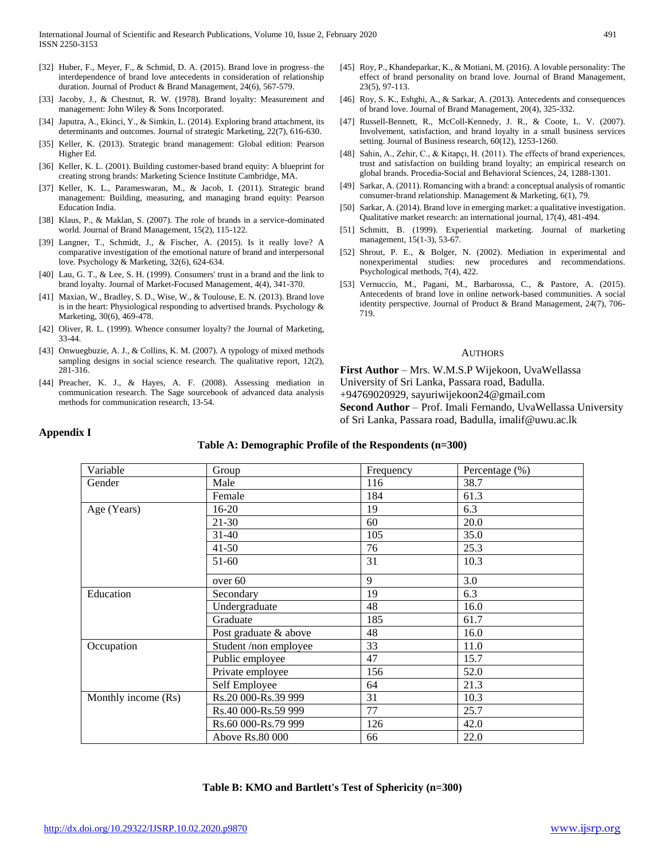- [32] Huber, F., Meyer, F., & Schmid, D. A. (2015). Brand love in progress–the interdependence of brand love antecedents in consideration of relationship duration. Journal of Product & Brand Management, 24(6), 567-579.
- [33] Jacoby, J., & Chestnut, R. W. (1978). Brand loyalty: Measurement and management: John Wiley & Sons Incorporated.
- [34] Japutra, A., Ekinci, Y., & Simkin, L. (2014). Exploring brand attachment, its determinants and outcomes. Journal of strategic Marketing, 22(7), 616-630.
- [35] Keller, K. (2013). Strategic brand management: Global edition: Pearson Higher Ed.
- [36] Keller, K. L. (2001). Building customer-based brand equity: A blueprint for creating strong brands: Marketing Science Institute Cambridge, MA.
- [37] Keller, K. L., Parameswaran, M., & Jacob, I. (2011). Strategic brand management: Building, measuring, and managing brand equity: Pearson Education India.
- [38] Klaus, P., & Maklan, S. (2007). The role of brands in a service-dominated world. Journal of Brand Management, 15(2), 115-122.
- [39] Langner, T., Schmidt, J., & Fischer, A. (2015). Is it really love? A comparative investigation of the emotional nature of brand and interpersonal love. Psychology & Marketing, 32(6), 624-634.
- [40] Lau, G. T., & Lee, S. H. (1999). Consumers' trust in a brand and the link to brand loyalty. Journal of Market-Focused Management, 4(4), 341-370.
- [41] Maxian, W., Bradley, S. D., Wise, W., & Toulouse, E. N. (2013). Brand love is in the heart: Physiological responding to advertised brands. Psychology & Marketing, 30(6), 469-478.
- [42] Oliver, R. L. (1999). Whence consumer loyalty? the Journal of Marketing, 33-44.
- [43] Onwuegbuzie, A. J., & Collins, K. M. (2007). A typology of mixed methods sampling designs in social science research. The qualitative report, 12(2), 281-316.
- [44] Preacher, K. J., & Hayes, A. F. (2008). Assessing mediation in communication research. The Sage sourcebook of advanced data analysis methods for communication research, 13-54.
- [45] Roy, P., Khandeparkar, K., & Motiani, M. (2016). A lovable personality: The effect of brand personality on brand love. Journal of Brand Management, 23(5), 97-113.
- [46] Roy, S. K., Eshghi, A., & Sarkar, A. (2013). Antecedents and consequences of brand love. Journal of Brand Management, 20(4), 325-332.
- [47] Russell-Bennett, R., McColl-Kennedy, J. R., & Coote, L. V. (2007). Involvement, satisfaction, and brand loyalty in a small business services setting. Journal of Business research, 60(12), 1253-1260.
- [48] Sahin, A., Zehir, C., & Kitapçı, H. (2011). The effects of brand experiences, trust and satisfaction on building brand loyalty; an empirical research on global brands. Procedia-Social and Behavioral Sciences, 24, 1288-1301.
- [49] Sarkar, A. (2011). Romancing with a brand: a conceptual analysis of romantic consumer-brand relationship. Management & Marketing, 6(1), 79.
- [50] Sarkar, A. (2014). Brand love in emerging market: a qualitative investigation. Qualitative market research: an international journal, 17(4), 481-494.
- [51] Schmitt, B. (1999). Experiential marketing. Journal of marketing management, 15(1-3), 53-67.
- [52] Shrout, P. E., & Bolger, N. (2002). Mediation in experimental and nonexperimental studies: new procedures and recommendations. Psychological methods, 7(4), 422.
- [53] Vernuccio, M., Pagani, M., Barbarossa, C., & Pastore, A. (2015). Antecedents of brand love in online network-based communities. A social identity perspective. Journal of Product & Brand Management, 24(7), 706- 719.

#### **AUTHORS**

**First Author** – Mrs. W.M.S.P Wijekoon, UvaWellassa University of Sri Lanka, Passara road, Badulla. +94769020929, sayuriwijekoon24@gmail.com **Second Author** – Prof. Imali Fernando, UvaWellassa University of Sri Lanka, Passara road, Badulla, imalif@uwu.ac.lk

# **Appendix I**

### **Table A: Demographic Profile of the Respondents (n=300)**

| Variable            | Group                 | Frequency | Percentage (%) |
|---------------------|-----------------------|-----------|----------------|
| Gender              | Male                  | 116       | 38.7           |
|                     | Female                | 184       | 61.3           |
| Age (Years)         | $16-20$               | 19        | 6.3            |
|                     | $21 - 30$             | 60        | 20.0           |
|                     | $31 - 40$             | 105       | 35.0           |
|                     | $41 - 50$             | 76        | 25.3           |
|                     | 51-60                 | 31        | 10.3           |
|                     | over 60               | 9         | 3.0            |
| Education           | Secondary             | 19        | 6.3            |
|                     | Undergraduate         | 48        | 16.0           |
|                     | Graduate              | 185       | 61.7           |
|                     | Post graduate & above | 48        | 16.0           |
| Occupation          | Student /non employee | 33        | 11.0           |
|                     | Public employee       | 47        | 15.7           |
|                     | Private employee      | 156       | 52.0           |
|                     | Self Employee         | 64        | 21.3           |
| Monthly income (Rs) | Rs.20 000-Rs.39 999   | 31        | 10.3           |
|                     | Rs.40 000-Rs.59 999   | 77        | 25.7           |
|                     | Rs.60 000-Rs.79 999   | 126       | 42.0           |
|                     | Above Rs.80 000       | 66        | 22.0           |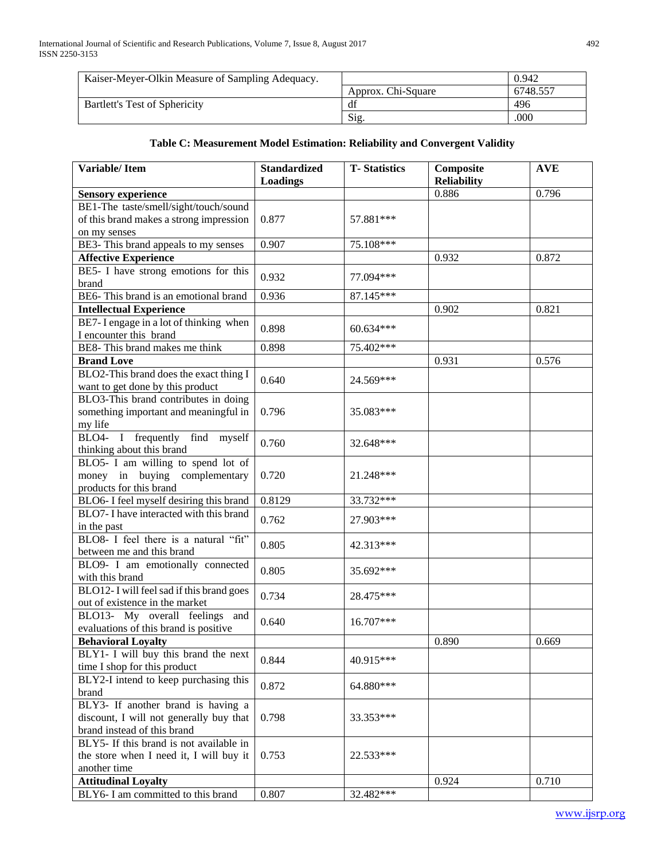| Kaiser-Meyer-Olkin Measure of Sampling Adequacy. |                    | 0.942    |
|--------------------------------------------------|--------------------|----------|
|                                                  | Approx. Chi-Square | 6748.557 |
| Bartlett's Test of Sphericity                    | df                 | 496      |
|                                                  | Si <sub>2</sub>    | .000     |

# **Table C: Measurement Model Estimation: Reliability and Convergent Validity**

| <b>Variable/Item</b>                      | <b>Standardized</b> | <b>T-Statistics</b> | Composite                   | <b>AVE</b> |
|-------------------------------------------|---------------------|---------------------|-----------------------------|------------|
|                                           | <b>Loadings</b>     |                     | <b>Reliability</b><br>0.886 |            |
| <b>Sensory experience</b>                 |                     |                     |                             | 0.796      |
| BE1-The taste/smell/sight/touch/sound     |                     |                     |                             |            |
| of this brand makes a strong impression   | 0.877               | 57.881 ***          |                             |            |
| on my senses                              |                     |                     |                             |            |
| BE3- This brand appeals to my senses      | 0.907               | 75.108***           |                             |            |
| <b>Affective Experience</b>               |                     |                     | 0.932                       | 0.872      |
| BE5- I have strong emotions for this      | 0.932               | 77.094***           |                             |            |
| brand                                     |                     |                     |                             |            |
| BE6- This brand is an emotional brand     | 0.936               | 87.145***           |                             |            |
| <b>Intellectual Experience</b>            |                     |                     | 0.902                       | 0.821      |
| BE7-I engage in a lot of thinking when    | 0.898               | 60.634***           |                             |            |
| I encounter this brand                    |                     |                     |                             |            |
| BE8- This brand makes me think            | 0.898               | 75.402***           |                             |            |
| <b>Brand Love</b>                         |                     |                     | 0.931                       | 0.576      |
| BLO2-This brand does the exact thing I    |                     |                     |                             |            |
| want to get done by this product          | 0.640               | 24.569***           |                             |            |
| BLO3-This brand contributes in doing      |                     |                     |                             |            |
| something important and meaningful in     | 0.796               | 35.083***           |                             |            |
| my life                                   |                     |                     |                             |            |
| BLO4- I frequently find myself            |                     |                     |                             |            |
| thinking about this brand                 | 0.760               | 32.648***           |                             |            |
| BLO5- I am willing to spend lot of        |                     |                     |                             |            |
| money in buying complementary             | 0.720               | 21.248***           |                             |            |
| products for this brand                   |                     |                     |                             |            |
| BLO6- I feel myself desiring this brand   | 0.8129              | 33.732***           |                             |            |
| BLO7- I have interacted with this brand   |                     |                     |                             |            |
| in the past                               | 0.762               | 27.903***           |                             |            |
| BLO8- I feel there is a natural "fit"     |                     |                     |                             |            |
| between me and this brand                 | 0.805               | 42.313***           |                             |            |
| BLO9- I am emotionally connected          |                     |                     |                             |            |
| with this brand                           | 0.805               | 35.692***           |                             |            |
| BLO12- I will feel sad if this brand goes |                     |                     |                             |            |
| out of existence in the market            | 0.734               | 28.475***           |                             |            |
| BLO13- My overall feelings and            |                     |                     |                             |            |
|                                           | 0.640               | 16.707***           |                             |            |
| evaluations of this brand is positive     |                     |                     |                             |            |
| <b>Behavioral Loyalty</b>                 |                     |                     | 0.890                       | 0.669      |
| BLY1- I will buy this brand the next      | 0.844               | 40.915***           |                             |            |
| time I shop for this product              |                     |                     |                             |            |
| BLY2-I intend to keep purchasing this     | 0.872               | 64.880***           |                             |            |
| brand                                     |                     |                     |                             |            |
| BLY3- If another brand is having a        |                     |                     |                             |            |
| discount, I will not generally buy that   | 0.798               | 33.353***           |                             |            |
| brand instead of this brand               |                     |                     |                             |            |
| BLY5- If this brand is not available in   |                     |                     |                             |            |
| the store when I need it, I will buy it   | 0.753               | 22.533***           |                             |            |
| another time                              |                     |                     |                             |            |
| <b>Attitudinal Loyalty</b>                |                     |                     | 0.924                       | 0.710      |
| BLY6- I am committed to this brand        | 0.807               | 32.482***           |                             |            |